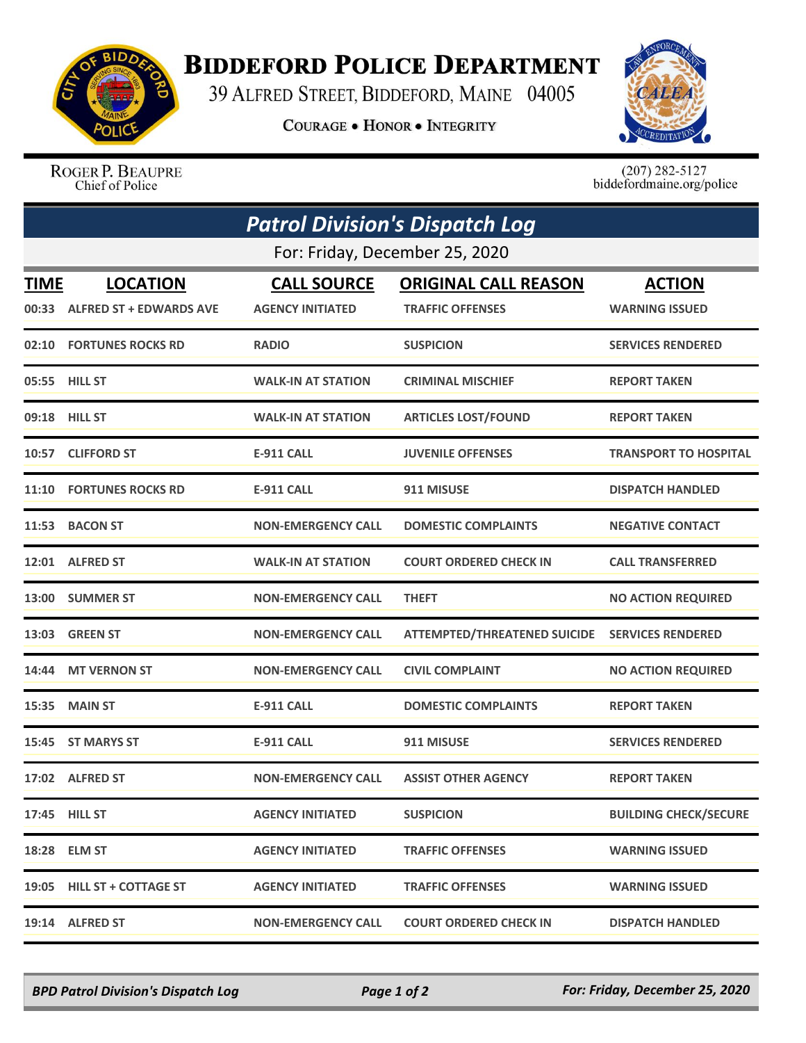

## **BIDDEFORD POLICE DEPARTMENT**

39 ALFRED STREET, BIDDEFORD, MAINE 04005

**COURAGE . HONOR . INTEGRITY** 



ROGER P. BEAUPRE Chief of Police

 $(207)$  282-5127<br>biddefordmaine.org/police

| <b>Patrol Division's Dispatch Log</b><br>For: Friday, December 25, 2020 |                                |                           |                                     |                              |  |  |
|-------------------------------------------------------------------------|--------------------------------|---------------------------|-------------------------------------|------------------------------|--|--|
|                                                                         |                                |                           |                                     |                              |  |  |
|                                                                         | 00:33 ALFRED ST + EDWARDS AVE  | <b>AGENCY INITIATED</b>   | <b>TRAFFIC OFFENSES</b>             | <b>WARNING ISSUED</b>        |  |  |
|                                                                         | 02:10 FORTUNES ROCKS RD        | <b>RADIO</b>              | <b>SUSPICION</b>                    | <b>SERVICES RENDERED</b>     |  |  |
|                                                                         | 05:55 HILL ST                  | <b>WALK-IN AT STATION</b> | <b>CRIMINAL MISCHIEF</b>            | <b>REPORT TAKEN</b>          |  |  |
|                                                                         | 09:18 HILL ST                  | <b>WALK-IN AT STATION</b> | <b>ARTICLES LOST/FOUND</b>          | <b>REPORT TAKEN</b>          |  |  |
|                                                                         | 10:57 CLIFFORD ST              | <b>E-911 CALL</b>         | <b>JUVENILE OFFENSES</b>            | <b>TRANSPORT TO HOSPITAL</b> |  |  |
|                                                                         | <b>11:10 FORTUNES ROCKS RD</b> | <b>E-911 CALL</b>         | 911 MISUSE                          | <b>DISPATCH HANDLED</b>      |  |  |
|                                                                         | 11:53 BACON ST                 | <b>NON-EMERGENCY CALL</b> | <b>DOMESTIC COMPLAINTS</b>          | <b>NEGATIVE CONTACT</b>      |  |  |
|                                                                         | 12:01 ALFRED ST                | <b>WALK-IN AT STATION</b> | <b>COURT ORDERED CHECK IN</b>       | <b>CALL TRANSFERRED</b>      |  |  |
|                                                                         | 13:00 SUMMER ST                | <b>NON-EMERGENCY CALL</b> | <b>THEFT</b>                        | <b>NO ACTION REQUIRED</b>    |  |  |
| 13:03                                                                   | <b>GREEN ST</b>                | <b>NON-EMERGENCY CALL</b> | <b>ATTEMPTED/THREATENED SUICIDE</b> | <b>SERVICES RENDERED</b>     |  |  |
|                                                                         | 14:44 MT VERNON ST             | <b>NON-EMERGENCY CALL</b> | <b>CIVIL COMPLAINT</b>              | <b>NO ACTION REQUIRED</b>    |  |  |
| 15:35                                                                   | <b>MAIN ST</b>                 | <b>E-911 CALL</b>         | <b>DOMESTIC COMPLAINTS</b>          | <b>REPORT TAKEN</b>          |  |  |
| 15:45                                                                   | <b>ST MARYS ST</b>             | <b>E-911 CALL</b>         | 911 MISUSE                          | <b>SERVICES RENDERED</b>     |  |  |
|                                                                         | 17:02 ALFRED ST                | <b>NON-EMERGENCY CALL</b> | <b>ASSIST OTHER AGENCY</b>          | <b>REPORT TAKEN</b>          |  |  |
|                                                                         | 17:45 HILL ST                  | <b>AGENCY INITIATED</b>   | <b>SUSPICION</b>                    | <b>BUILDING CHECK/SECURE</b> |  |  |
|                                                                         | 18:28 ELM ST                   | <b>AGENCY INITIATED</b>   | <b>TRAFFIC OFFENSES</b>             | <b>WARNING ISSUED</b>        |  |  |
|                                                                         | 19:05 HILL ST + COTTAGE ST     | <b>AGENCY INITIATED</b>   | <b>TRAFFIC OFFENSES</b>             | <b>WARNING ISSUED</b>        |  |  |
|                                                                         | 19:14 ALFRED ST                | <b>NON-EMERGENCY CALL</b> | <b>COURT ORDERED CHECK IN</b>       | <b>DISPATCH HANDLED</b>      |  |  |

*BPD Patrol Division's Dispatch Log Page 1 of 2 For: Friday, December 25, 2020*